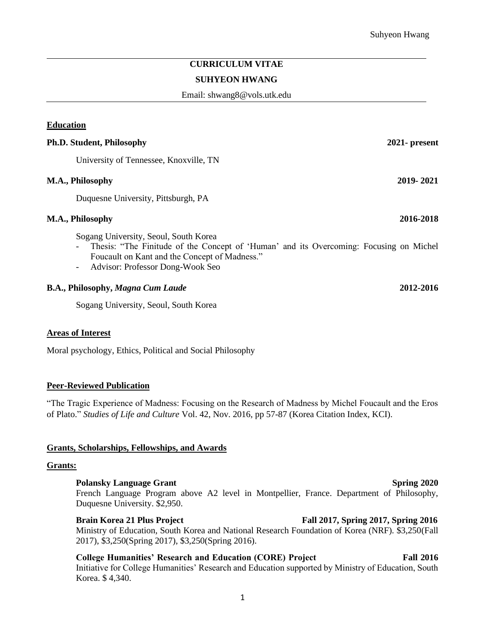# **CURRICULUM VITAE**

#### **SUHYEON HWANG**

Email: shwang8@vols.utk.edu

# **Education**

# **Ph.D. Student, Philosophy 2021- present** University of Tennessee, Knoxville, TN **M.A., Philosophy 2019- 2021** Duquesne University, Pittsburgh, PA **M.A., Philosophy 2016-2018**

Sogang University, Seoul, South Korea

- Thesis: "The Finitude of the Concept of 'Human' and its Overcoming: Focusing on Michel Foucault on Kant and the Concept of Madness."
- Advisor: Professor Dong-Wook Seo

### **B.A., Philosophy,** *Magna Cum Laude* **2012-2016**

Sogang University, Seoul, South Korea

#### **Areas of Interest**

Moral psychology, Ethics, Political and Social Philosophy

#### **Peer-Reviewed Publication**

"The Tragic Experience of Madness: Focusing on the Research of Madness by Michel Foucault and the Eros of Plato." *Studies of Life and Culture* Vol. 42, Nov. 2016, pp 57-87 (Korea Citation Index, KCI).

#### **Grants, Scholarships, Fellowships, and Awards**

#### **Grants:**

#### **Polansky Language Grant** Spring 2020

French Language Program above A2 level in Montpellier, France. Department of Philosophy, Duquesne University. \$2,950.

## **Brain Korea 21 Plus Project Fall 2017, Spring 2017, Spring 2016**

Ministry of Education, South Korea and National Research Foundation of Korea (NRF). \$3,250(Fall 2017), \$3,250(Spring 2017), \$3,250(Spring 2016).

**College Humanities' Research and Education (CORE) Project Fall 2016**  Initiative for College Humanities' Research and Education supported by Ministry of Education, South Korea. \$ 4,340.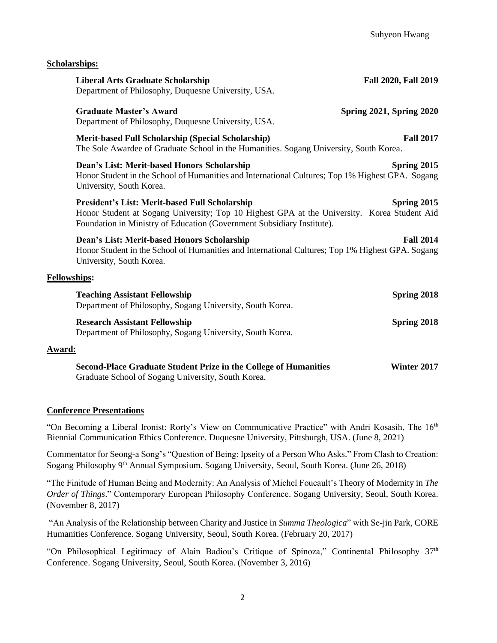**Scholarships:** 

| <b>Liberal Arts Graduate Scholarship</b><br>Department of Philosophy, Duquesne University, USA.                                                                                                                         | <b>Fall 2020, Fall 2019</b>     |
|-------------------------------------------------------------------------------------------------------------------------------------------------------------------------------------------------------------------------|---------------------------------|
| <b>Graduate Master's Award</b><br>Department of Philosophy, Duquesne University, USA.                                                                                                                                   | <b>Spring 2021, Spring 2020</b> |
| <b>Merit-based Full Scholarship (Special Scholarship)</b><br>The Sole Awardee of Graduate School in the Humanities. Sogang University, South Korea.                                                                     | <b>Fall 2017</b>                |
| Dean's List: Merit-based Honors Scholarship<br>Honor Student in the School of Humanities and International Cultures; Top 1% Highest GPA. Sogang<br>University, South Korea.                                             | Spring 2015                     |
| President's List: Merit-based Full Scholarship<br>Honor Student at Sogang University; Top 10 Highest GPA at the University. Korea Student Aid<br>Foundation in Ministry of Education (Government Subsidiary Institute). | Spring 2015                     |
| Dean's List: Merit-based Honors Scholarship<br>Honor Student in the School of Humanities and International Cultures; Top 1% Highest GPA. Sogang<br>University, South Korea.                                             | <b>Fall 2014</b>                |
| <b>Fellowships:</b>                                                                                                                                                                                                     |                                 |
| <b>Teaching Assistant Fellowship</b><br>Department of Philosophy, Sogang University, South Korea.                                                                                                                       | Spring 2018                     |
| <b>Research Assistant Fellowship</b><br>Department of Philosophy, Sogang University, South Korea.                                                                                                                       | Spring 2018                     |
| Award:                                                                                                                                                                                                                  |                                 |
| <b>Second-Place Graduate Student Prize in the College of Humanities</b>                                                                                                                                                 | Winter 2017                     |

Graduate School of Sogang University, South Korea.

# **Conference Presentations**

"On Becoming a Liberal Ironist: Rorty's View on Communicative Practice" with Andri Kosasih, The  $16<sup>th</sup>$ Biennial Communication Ethics Conference. Duquesne University, Pittsburgh, USA. (June 8, 2021)

Commentator for Seong-a Song's "Question of Being: Ipseity of a Person Who Asks." From Clash to Creation: Sogang Philosophy 9th Annual Symposium. Sogang University, Seoul, South Korea. (June 26, 2018)

"The Finitude of Human Being and Modernity: An Analysis of Michel Foucault's Theory of Modernity in *The Order of Things*." Contemporary European Philosophy Conference. Sogang University, Seoul, South Korea. (November 8, 2017)

"An Analysis of the Relationship between Charity and Justice in *Summa Theologica*" with Se-jin Park, CORE Humanities Conference. Sogang University, Seoul, South Korea. (February 20, 2017)

"On Philosophical Legitimacy of Alain Badiou's Critique of Spinoza," Continental Philosophy 37<sup>th</sup> Conference. Sogang University, Seoul, South Korea. (November 3, 2016)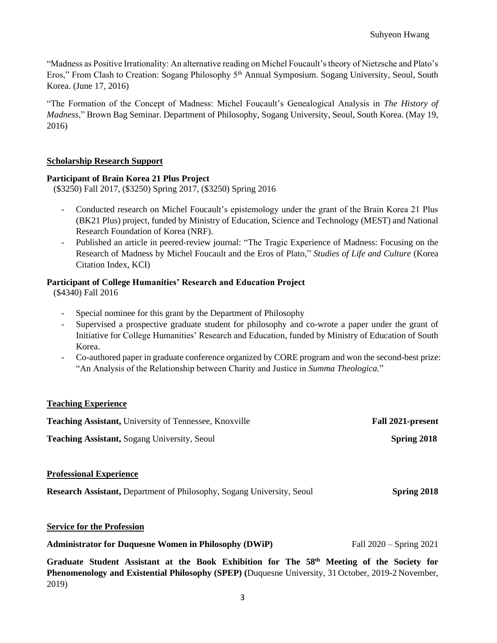"Madness as Positive Irrationality: An alternative reading on Michel Foucault's theory of Nietzsche and Plato's Eros," From Clash to Creation: Sogang Philosophy 5<sup>th</sup> Annual Symposium. Sogang University, Seoul, South Korea. (June 17, 2016)

"The Formation of the Concept of Madness: Michel Foucault's Genealogical Analysis in *The History of Madness*," Brown Bag Seminar. Department of Philosophy, Sogang University, Seoul, South Korea. (May 19, 2016)

# **Scholarship Research Support**

# **Participant of Brain Korea 21 Plus Project**

(\$3250) Fall 2017, (\$3250) Spring 2017, (\$3250) Spring 2016

- Conducted research on Michel Foucault's epistemology under the grant of the Brain Korea 21 Plus (BK21 Plus) project, funded by Ministry of Education, Science and Technology (MEST) and National Research Foundation of Korea (NRF).
- Published an article in peered-review journal: "The Tragic Experience of Madness: Focusing on the Research of Madness by Michel Foucault and the Eros of Plato," *Studies of Life and Culture* (Korea Citation Index, KCI)

# **Participant of College Humanities' Research and Education Project**

(\$4340) Fall 2016

- Special nominee for this grant by the Department of Philosophy
- Supervised a prospective graduate student for philosophy and co-wrote a paper under the grant of Initiative for College Humanities' Research and Education, funded by Ministry of Education of South Korea.
- Co-authored paper in graduate conference organized by CORE program and won the second-best prize: "An Analysis of the Relationship between Charity and Justice in *Summa Theologica.*"

# **Teaching Experience**

| <b>Teaching Assistant, University of Tennessee, Knoxville</b>                                            | Fall 2021-present |
|----------------------------------------------------------------------------------------------------------|-------------------|
| <b>Teaching Assistant, Sogang University, Seoul</b>                                                      | Spring 2018       |
| <b>Professional Experience</b><br>Research Assistant, Department of Philosophy, Sogang University, Seoul | Spring 2018       |
| <b>Service for the Profession</b>                                                                        |                   |

**Administrator for Duquesne Women in Philosophy (DWiP)** Fall 2020 – Spring 2021

**Graduate Student Assistant at the Book Exhibition for The 58th Meeting of the Society for Phenomenology and Existential Philosophy (SPEP) (**Duquesne University, 31 October, 2019-2 November, 2019)